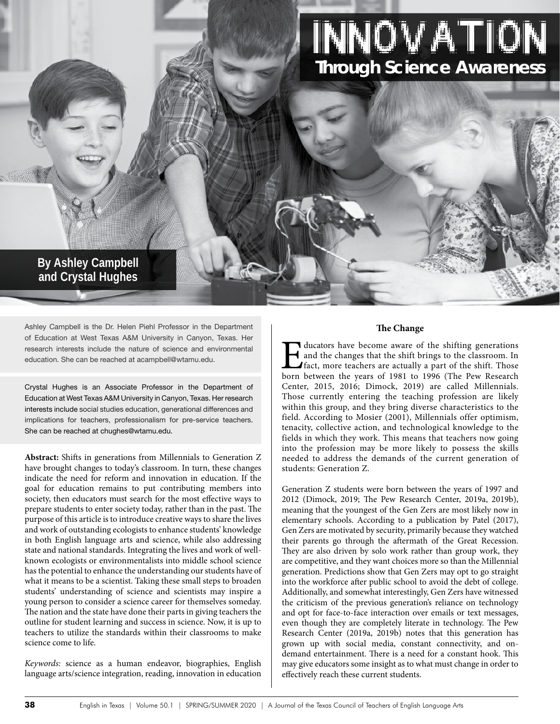# Innovation **Through Science Awareness**

## **By Ashley Campbell and Crystal Hughes**

Ashley Campbell is the Dr. Helen Piehl Professor in the Department of Education at West Texas A&M University in Canyon, Texas. Her research interests include the nature of science and environmental education. She can be reached at acampbell@wtamu.edu.

Crystal Hughes is an Associate Professor in the Department of Education at West Texas A&M University in Canyon, Texas. Her research interests include social studies education, generational differences and implications for teachers, professionalism for pre-service teachers. She can be reached at chughes@wtamu.edu.

**Abstract:** Shifts in generations from Millennials to Generation Z have brought changes to today's classroom. In turn, these changes indicate the need for reform and innovation in education. If the goal for education remains to put contributing members into society, then educators must search for the most effective ways to prepare students to enter society today, rather than in the past. The purpose of this article is to introduce creative ways to share the lives and work of outstanding ecologists to enhance students' knowledge in both English language arts and science, while also addressing state and national standards. Integrating the lives and work of wellknown ecologists or environmentalists into middle school science has the potential to enhance the understanding our students have of what it means to be a scientist. Taking these small steps to broaden students' understanding of science and scientists may inspire a young person to consider a science career for themselves someday. The nation and the state have done their parts in giving teachers the outline for student learning and success in science. Now, it is up to teachers to utilize the standards within their classrooms to make science come to life.

Keywords: science as a human endeavor, biographies, English language arts/science integration, reading, innovation in education

#### **The Change**

I ducators have become aware of the shifting generations and the changes that the shift brings to the classroom. In fact, more teachers are actually a part of the shift. Those born between the years of 1981 to 1996 (The Pe and the changes that the shift brings to the classroom. In fact, more teachers are actually a part of the shift. Those Center, 2015, 2016; Dimock, 2019) are called Millennials. Those currently entering the teaching profession are likely within this group, and they bring diverse characteristics to the field. According to Mosier (2001), Millennials offer optimism, tenacity, collective action, and technological knowledge to the fields in which they work. This means that teachers now going into the profession may be more likely to possess the skills needed to address the demands of the current generation of students: Generation Z.

Generation Z students were born between the years of 1997 and 2012 (Dimock, 2019; The Pew Research Center, 2019a, 2019b), meaning that the youngest of the Gen Zers are most likely now in elementary schools. According to a publication by Patel (2017), Gen Zers are motivated by security, primarily because they watched their parents go through the aftermath of the Great Recession. They are also driven by solo work rather than group work, they are competitive, and they want choices more so than the Millennial generation. Predictions show that Gen Zers may opt to go straight into the workforce after public school to avoid the debt of college. Additionally, and somewhat interestingly, Gen Zers have witnessed the criticism of the previous generation's reliance on technology and opt for face-to-face interaction over emails or text messages, even though they are completely literate in technology. The Pew Research Center (2019a, 2019b) notes that this generation has grown up with social media, constant connectivity, and ondemand entertainment. There is a need for a constant hook. This may give educators some insight as to what must change in order to effectively reach these current students.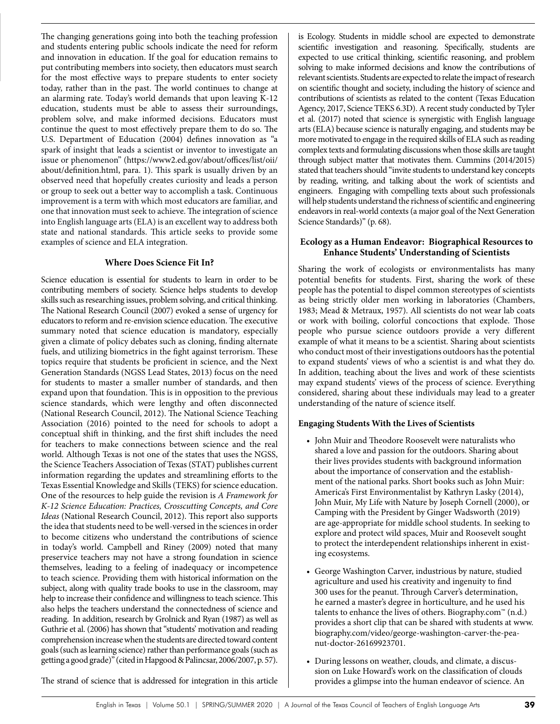The changing generations going into both the teaching profession and students entering public schools indicate the need for reform and innovation in education. If the goal for education remains to put contributing members into society, then educators must search for the most effective ways to prepare students to enter society today, rather than in the past. The world continues to change at an alarming rate. Today's world demands that upon leaving K-12 education, students must be able to assess their surroundings, problem solve, and make informed decisions. Educators must continue the quest to most effectively prepare them to do so. The U.S. Department of Education (2004) defines innovation as "a spark of insight that leads a scientist or inventor to investigate an issue or phenomenon" (https://www2.ed.gov/about/offices/list/oii/ about/definition.html, para. 1). This spark is usually driven by an observed need that hopefully creates curiosity and leads a person or group to seek out a better way to accomplish a task. Continuous improvement is a term with which most educators are familiar, and one that innovation must seek to achieve. The integration of science into English language arts (ELA) is an excellent way to address both state and national standards. This article seeks to provide some examples of science and ELA integration.

#### **Where Does Science Fit In?**

Science education is essential for students to learn in order to be contributing members of society. Science helps students to develop skills such as researching issues, problem solving, and critical thinking. The National Research Council (2007) evoked a sense of urgency for educators to reform and re-envision science education. The executive summary noted that science education is mandatory, especially given a climate of policy debates such as cloning, finding alternate fuels, and utilizing biometrics in the fight against terrorism. These topics require that students be proficient in science, and the Next Generation Standards (NGSS Lead States, 2013) focus on the need for students to master a smaller number of standards, and then expand upon that foundation. This is in opposition to the previous science standards, which were lengthy and often disconnected (National Research Council, 2012). The National Science Teaching Association (2016) pointed to the need for schools to adopt a conceptual shift in thinking, and the first shift includes the need for teachers to make connections between science and the real world. Although Texas is not one of the states that uses the NGSS, the Science Teachers Association of Texas (STAT) publishes current information regarding the updates and streamlining efforts to the Texas Essential Knowledge and Skills (TEKS) for science education. One of the resources to help guide the revision is *A Framework for K-12 Science Education: Practices, Crosscutting Concepts, and Core Ideas* (National Research Council, 2012). This report also supports the idea that students need to be well-versed in the sciences in order to become citizens who understand the contributions of science in today's world. Campbell and Riney (2009) noted that many preservice teachers may not have a strong foundation in science themselves, leading to a feeling of inadequacy or incompetence to teach science. Providing them with historical information on the subject, along with quality trade books to use in the classroom, may help to increase their confidence and willingness to teach science. This also helps the teachers understand the connectedness of science and reading. In addition, research by Grolnick and Ryan (1987) as well as Guthrie et al. (2006) has shown that "students' motivation and reading comprehension increase when the students are directed toward content goals (such as learning science) rather than performance goals (such as getting a good grade)" (cited in Hapgood & Palincsar, 2006/2007, p. 57).

is Ecology. Students in middle school are expected to demonstrate scientific investigation and reasoning. Specifically, students are expected to use critical thinking, scientific reasoning, and problem solving to make informed decisions and know the contributions of relevant scientists. Students are expected to relate the impact of research on scientific thought and society, including the history of science and contributions of scientists as related to the content (Texas Education Agency, 2017, Science TEKS 6.3D). A recent study conducted by Tyler et al. (2017) noted that science is synergistic with English language arts (ELA) because science is naturally engaging, and students may be more motivated to engage in the required skills of ELA such as reading complex texts and formulating discussions when those skills are taught through subject matter that motivates them. Cummins (2014/2015) stated that teachers should "invite students to understand key concepts by reading, writing, and talking about the work of scientists and engineers. Engaging with compelling texts about such professionals will help students understand the richness of scientific and engineering endeavors in real-world contexts (a major goal of the Next Generation Science Standards)" (p. 68).

#### **Ecology as a Human Endeavor: Biographical Resources to Enhance Students' Understanding of Scientists**

Sharing the work of ecologists or environmentalists has many potential benefits for students. First, sharing the work of these people has the potential to dispel common stereotypes of scientists as being strictly older men working in laboratories (Chambers, 1983; Mead & Metraux, 1957). All scientists do not wear lab coats or work with boiling, colorful concoctions that explode. Those people who pursue science outdoors provide a very different example of what it means to be a scientist. Sharing about scientists who conduct most of their investigations outdoors has the potential to expand students' views of who a scientist is and what they do. In addition, teaching about the lives and work of these scientists may expand students' views of the process of science. Everything considered, sharing about these individuals may lead to a greater understanding of the nature of science itself.

### **Engaging Students With the Lives of Scientists**

- John Muir and Theodore Roosevelt were naturalists who shared a love and passion for the outdoors. Sharing about their lives provides students with background information about the importance of conservation and the establishment of the national parks. Short books such as John Muir: America's First Environmentalist by Kathryn Lasky (2014), John Muir, My Life with Nature by Joseph Cornell (2000), or Camping with the President by Ginger Wadsworth (2019) are age-appropriate for middle school students. In seeking to explore and protect wild spaces, Muir and Roosevelt sought to protect the interdependent relationships inherent in existing ecosystems.
- George Washington Carver, industrious by nature, studied agriculture and used his creativity and ingenuity to find 300 uses for the peanut. Through Carver's determination, he earned a master's degree in horticulture, and he used his talents to enhance the lives of others. Biography.com<sup>™</sup> (n.d.) provides a short clip that can be shared with students at www. biography.com/video/george-washington-carver-the-peanut-doctor-26169923701.
- During lessons on weather, clouds, and climate, a discussion on Luke Howard's work on the classification of clouds provides a glimpse into the human endeavor of science. An

The strand of science that is addressed for integration in this article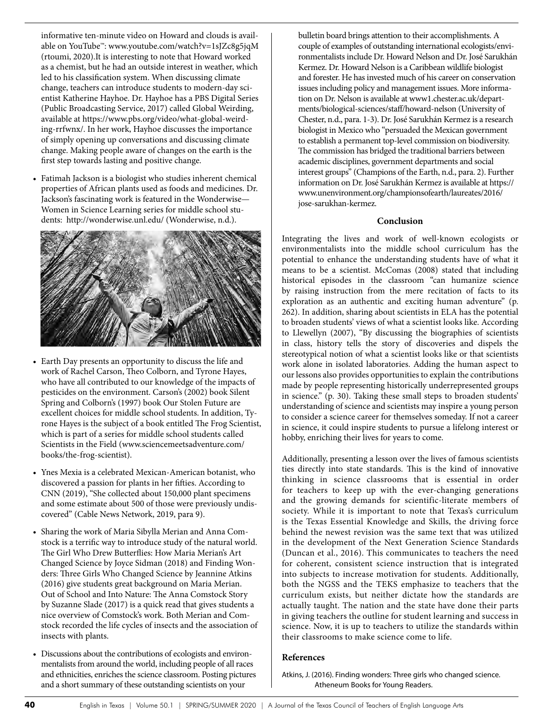informative ten-minute video on Howard and clouds is available on YouTube™: www.youtube.com/watch?v=1sJZc8g5jqM (rtoumi, 2020).It is interesting to note that Howard worked as a chemist, but he had an outside interest in weather, which led to his classification system. When discussing climate change, teachers can introduce students to modern-day scientist Katherine Hayhoe. Dr. Hayhoe has a PBS Digital Series (Public Broadcasting Service, 2017) called Global Weirding, available at https://www.pbs.org/video/what-global-weirding-rrfwnx/. In her work, Hayhoe discusses the importance of simply opening up conversations and discussing climate change. Making people aware of changes on the earth is the first step towards lasting and positive change.

• Fatimah Jackson is a biologist who studies inherent chemical properties of African plants used as foods and medicines. Dr. Jackson's fascinating work is featured in the Wonderwise— Women in Science Learning series for middle school students: http://wonderwise.unl.edu/ (Wonderwise, n.d.).



- Earth Day presents an opportunity to discuss the life and work of Rachel Carson, Theo Colborn, and Tyrone Hayes, who have all contributed to our knowledge of the impacts of pesticides on the environment. Carson's (2002) book Silent Spring and Colborn's (1997) book Our Stolen Future are excellent choices for middle school students. In addition, Tyrone Hayes is the subject of a book entitled The Frog Scientist, which is part of a series for middle school students called Scientists in the Field (www.sciencemeetsadventure.com/ books/the-frog-scientist).
- Ynes Mexia is a celebrated Mexican-American botanist, who discovered a passion for plants in her fifties. According to CNN (2019), "She collected about 150,000 plant specimens and some estimate about 500 of those were previously undiscovered" (Cable News Network, 2019, para 9).
- Sharing the work of Maria Sibylla Merian and Anna Comstock is a terrific way to introduce study of the natural world. The Girl Who Drew Butterflies: How Maria Merian's Art Changed Science by Joyce Sidman (2018) and Finding Wonders: Three Girls Who Changed Science by Jeannine Atkins (2016) give students great background on Maria Merian. Out of School and Into Nature: The Anna Comstock Story by Suzanne Slade (2017) is a quick read that gives students a nice overview of Comstock's work. Both Merian and Comstock recorded the life cycles of insects and the association of insects with plants.
- Discussions about the contributions of ecologists and environmentalists from around the world, including people of all races and ethnicities, enriches the science classroom. Posting pictures and a short summary of these outstanding scientists on your

bulletin board brings attention to their accomplishments. A couple of examples of outstanding international ecologists/environmentalists include Dr. Howard Nelson and Dr. José Sarukhán Kermez. Dr. Howard Nelson is a Caribbean wildlife biologist and forester. He has invested much of his career on conservation issues including policy and management issues. More information on Dr. Nelson is available at www1.chester.ac.uk/departments/biological-sciences/staff/howard-nelson (University of Chester, n.d., para. 1-3). Dr. José Sarukhán Kermez is a research biologist in Mexico who "persuaded the Mexican government to establish a permanent top-level commission on biodiversity. The commission has bridged the traditional barriers between academic disciplines, government departments and social interest groups" (Champions of the Earth, n.d., para. 2). Further information on Dr. José Sarukhán Kermez is available at https:// www.unenvironment.org/championsofearth/laureates/2016/ jose-sarukhan-kermez.

#### **Conclusion**

Integrating the lives and work of well-known ecologists or environmentalists into the middle school curriculum has the potential to enhance the understanding students have of what it means to be a scientist. McComas (2008) stated that including historical episodes in the classroom "can humanize science by raising instruction from the mere recitation of facts to its exploration as an authentic and exciting human adventure" (p. 262). In addition, sharing about scientists in ELA has the potential to broaden students' views of what a scientist looks like. According to Llewellyn (2007), "By discussing the biographies of scientists in class, history tells the story of discoveries and dispels the stereotypical notion of what a scientist looks like or that scientists work alone in isolated laboratories. Adding the human aspect to our lessons also provides opportunities to explain the contributions made by people representing historically underrepresented groups in science." (p. 30). Taking these small steps to broaden students' understanding of science and scientists may inspire a young person to consider a science career for themselves someday. If not a career in science, it could inspire students to pursue a lifelong interest or hobby, enriching their lives for years to come.

Additionally, presenting a lesson over the lives of famous scientists ties directly into state standards. This is the kind of innovative thinking in science classrooms that is essential in order for teachers to keep up with the ever-changing generations and the growing demands for scientific-literate members of society. While it is important to note that Texas's curriculum is the Texas Essential Knowledge and Skills, the driving force behind the newest revision was the same text that was utilized in the development of the Next Generation Science Standards (Duncan et al., 2016). This communicates to teachers the need for coherent, consistent science instruction that is integrated into subjects to increase motivation for students. Additionally, both the NGSS and the TEKS emphasize to teachers that the curriculum exists, but neither dictate how the standards are actually taught. The nation and the state have done their parts in giving teachers the outline for student learning and success in science. Now, it is up to teachers to utilize the standards within their classrooms to make science come to life.

#### **References**

Atkins, J. (2016). Finding wonders: Three girls who changed science. Atheneum Books for Young Readers.